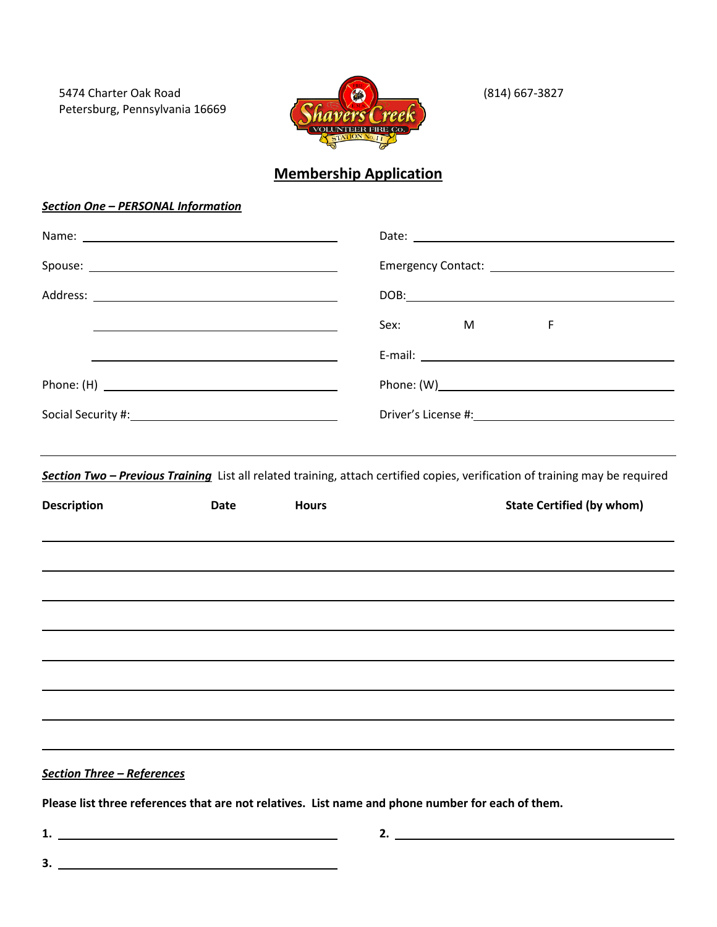5474 Charter Oak Road Petersburg, Pennsylvania 16669



(814) 667-3827

# **Membership Application**

# *Section One – PERSONAL Information*

|                    | <u> 1989 - Johann Barbara, marka a shekara tsa 1989 - An tsa 1989 - An tsa 1989 - An tsa 1989 - An tsa 1989 - An</u> |              | Sex:<br>M                                                                        | F                                                                                                                            |  |  |  |
|--------------------|----------------------------------------------------------------------------------------------------------------------|--------------|----------------------------------------------------------------------------------|------------------------------------------------------------------------------------------------------------------------------|--|--|--|
|                    |                                                                                                                      |              |                                                                                  |                                                                                                                              |  |  |  |
|                    |                                                                                                                      |              |                                                                                  |                                                                                                                              |  |  |  |
|                    |                                                                                                                      |              |                                                                                  |                                                                                                                              |  |  |  |
|                    |                                                                                                                      |              |                                                                                  |                                                                                                                              |  |  |  |
|                    |                                                                                                                      |              |                                                                                  | Section Two - Previous Training List all related training, attach certified copies, verification of training may be required |  |  |  |
|                    |                                                                                                                      |              |                                                                                  |                                                                                                                              |  |  |  |
| <b>Description</b> | Date                                                                                                                 | <b>Hours</b> |                                                                                  | <b>State Certified (by whom)</b>                                                                                             |  |  |  |
|                    |                                                                                                                      |              |                                                                                  |                                                                                                                              |  |  |  |
|                    |                                                                                                                      |              |                                                                                  |                                                                                                                              |  |  |  |
|                    |                                                                                                                      |              |                                                                                  |                                                                                                                              |  |  |  |
|                    |                                                                                                                      |              |                                                                                  |                                                                                                                              |  |  |  |
|                    |                                                                                                                      |              |                                                                                  |                                                                                                                              |  |  |  |
|                    |                                                                                                                      |              | ,我们也不能会有一个人的事情。""我们的人,我们也不能会有一个人的人,我们也不能会有一个人的人,我们也不能会有一个人的人,我们也不能会有一个人的人,我们也不能会 |                                                                                                                              |  |  |  |
|                    |                                                                                                                      |              | ,我们也不能会有一个人的事情。""我们的人们是不是我们的人,我们也不能会有一个人的人,我们也不能会有一个人的人,我们也不能会有一个人的人,我们也不能会有一个人的 |                                                                                                                              |  |  |  |
|                    |                                                                                                                      |              | ,我们也不会有什么?""我们的人,我们也不会有什么?""我们的人,我们也不会有什么?""我们的人,我们也不会有什么?""我们的人,我们也不会有什么?""我们的人 |                                                                                                                              |  |  |  |

**Please list three references that are not relatives. List name and phone number for each of them.**

**3.**